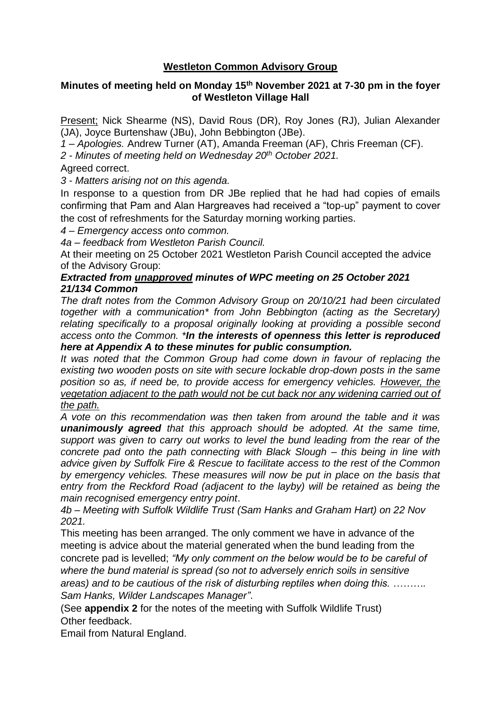# **Westleton Common Advisory Group**

## **Minutes of meeting held on Monday 15th November 2021 at 7-30 pm in the foyer of Westleton Village Hall**

Present; Nick Shearme (NS), David Rous (DR), Roy Jones (RJ), Julian Alexander (JA), Joyce Burtenshaw (JBu), John Bebbington (JBe).

*1 – Apologies.* Andrew Turner (AT), Amanda Freeman (AF), Chris Freeman (CF).

*2 - Minutes of meeting held on Wednesday 20th October 2021.*

Agreed correct.

*3 - Matters arising not on this agenda.*

In response to a question from DR JBe replied that he had had copies of emails confirming that Pam and Alan Hargreaves had received a "top-up" payment to cover the cost of refreshments for the Saturday morning working parties.

*4 – Emergency access onto common.* 

*4a – feedback from Westleton Parish Council.*

At their meeting on 25 October 2021 Westleton Parish Council accepted the advice of the Advisory Group:

#### *Extracted from unapproved minutes of WPC meeting on 25 October 2021 21/134 Common*

*The draft notes from the Common Advisory Group on 20/10/21 had been circulated together with a communication\* from John Bebbington (acting as the Secretary) relating specifically to a proposal originally looking at providing a possible second access onto the Common. \*In the interests of openness this letter is reproduced here at Appendix A to these minutes for public consumption.* 

*It was noted that the Common Group had come down in favour of replacing the existing two wooden posts on site with secure lockable drop-down posts in the same position so as, if need be, to provide access for emergency vehicles. However, the vegetation adjacent to the path would not be cut back nor any widening carried out of the path.* 

*A vote on this recommendation was then taken from around the table and it was unanimously agreed that this approach should be adopted. At the same time, support was given to carry out works to level the bund leading from the rear of the concrete pad onto the path connecting with Black Slough – this being in line with advice given by Suffolk Fire & Rescue to facilitate access to the rest of the Common by emergency vehicles. These measures will now be put in place on the basis that entry from the Reckford Road (adjacent to the layby) will be retained as being the main recognised emergency entry point*.

*4b – Meeting with Suffolk Wildlife Trust (Sam Hanks and Graham Hart) on 22 Nov 2021.*

This meeting has been arranged. The only comment we have in advance of the meeting is advice about the material generated when the bund leading from the concrete pad is levelled; *"My only comment on the below would be to be careful of where the bund material is spread (so not to adversely enrich soils in sensitive areas) and to be cautious of the risk of disturbing reptiles when doing this. ………. Sam Hanks, Wilder Landscapes Manager"*.

(See **appendix 2** for the notes of the meeting with Suffolk Wildlife Trust) Other feedback.

Email from Natural England.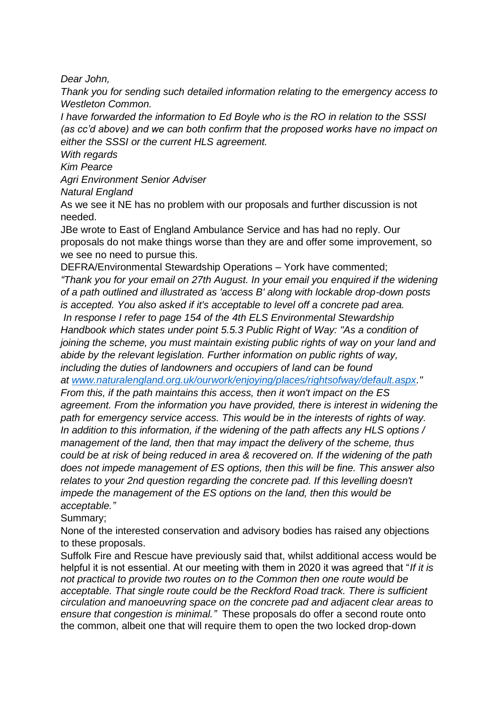*Dear John,*

*Thank you for sending such detailed information relating to the emergency access to Westleton Common.*

*I have forwarded the information to Ed Boyle who is the RO in relation to the SSSI (as cc'd above) and we can both confirm that the proposed works have no impact on either the SSSI or the current HLS agreement.*

*With regards*

*Kim Pearce*

*Agri Environment Senior Adviser*

*Natural England*

As we see it NE has no problem with our proposals and further discussion is not needed.

JBe wrote to East of England Ambulance Service and has had no reply. Our proposals do not make things worse than they are and offer some improvement, so we see no need to pursue this.

DEFRA/Environmental Stewardship Operations – York have commented; *"Thank you for your email on 27th August. In your email you enquired if the widening of a path outlined and illustrated as 'access B' along with lockable drop-down posts is accepted. You also asked if it's acceptable to level off a concrete pad area. In response I refer to page 154 of the 4th ELS Environmental Stewardship Handbook which states under point 5.5.3 Public Right of Way: "As a condition of joining the scheme, you must maintain existing public rights of way on your land and abide by the relevant legislation. Further information on public rights of way, including the duties of landowners and occupiers of land can be found* 

*at [www.naturalengland.org.uk/ourwork/enjoying/places/rightsofway/default.aspx.](https://emea01.safelinks.protection.outlook.com/?url=http%3A%2F%2Fwww.naturalengland.org.uk%2Fourwork%2Fenjoying%2Fplaces%2Frightsofway%2Fdefault.aspx&data=04%7C01%7C%7Ce8d350e872b84549fd2c08d9a11be7b8%7C84df9e7fe9f640afb435aaaaaaaaaaaa%7C1%7C0%7C637717963483325080%7CUnknown%7CTWFpbGZsb3d8eyJWIjoiMC4wLjAwMDAiLCJQIjoiV2luMzIiLCJBTiI6Ik1haWwiLCJXVCI6Mn0%3D%7C1000&sdata=Dd6kba9%2Bd5h22n94%2BQVVUTgDikXoI%2FcqWi%2FZ5%2FC66%2Bc%3D&reserved=0)"* 

*From this, if the path maintains this access, then it won't impact on the ES agreement. From the information you have provided, there is interest in widening the path for emergency service access. This would be in the interests of rights of way. In addition to this information, if the widening of the path affects any HLS options / management of the land, then that may impact the delivery of the scheme, thus could be at risk of being reduced in area & recovered on. If the widening of the path does not impede management of ES options, then this will be fine. This answer also relates to your 2nd question regarding the concrete pad. If this levelling doesn't impede the management of the ES options on the land, then this would be acceptable."*

Summary;

None of the interested conservation and advisory bodies has raised any objections to these proposals.

Suffolk Fire and Rescue have previously said that, whilst additional access would be helpful it is not essential. At our meeting with them in 2020 it was agreed that "*If it is not practical to provide two routes on to the Common then one route would be acceptable. That single route could be the Reckford Road track. There is sufficient circulation and manoeuvring space on the concrete pad and adjacent clear areas to ensure that congestion is minimal."* These proposals do offer a second route onto the common, albeit one that will require them to open the two locked drop-down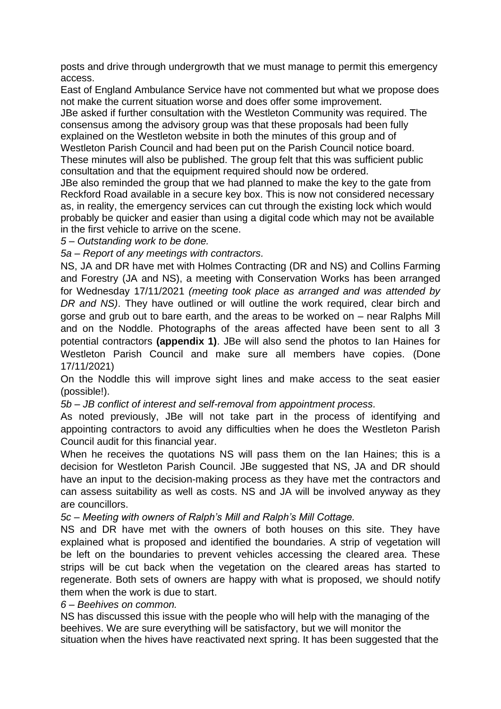posts and drive through undergrowth that we must manage to permit this emergency access.

East of England Ambulance Service have not commented but what we propose does not make the current situation worse and does offer some improvement.

JBe asked if further consultation with the Westleton Community was required. The consensus among the advisory group was that these proposals had been fully explained on the Westleton website in both the minutes of this group and of Westleton Parish Council and had been put on the Parish Council notice board. These minutes will also be published. The group felt that this was sufficient public consultation and that the equipment required should now be ordered.

JBe also reminded the group that we had planned to make the key to the gate from Reckford Road available in a secure key box. This is now not considered necessary as, in reality, the emergency services can cut through the existing lock which would probably be quicker and easier than using a digital code which may not be available in the first vehicle to arrive on the scene.

*5 – Outstanding work to be done.*

*5a – Report of any meetings with contractors.*

NS, JA and DR have met with Holmes Contracting (DR and NS) and Collins Farming and Forestry (JA and NS), a meeting with Conservation Works has been arranged for Wednesday 17/11/2021 *(meeting took place as arranged and was attended by DR and NS)*. They have outlined or will outline the work required, clear birch and gorse and grub out to bare earth, and the areas to be worked on – near Ralphs Mill and on the Noddle. Photographs of the areas affected have been sent to all 3 potential contractors **(appendix 1)**. JBe will also send the photos to Ian Haines for Westleton Parish Council and make sure all members have copies. (Done 17/11/2021)

On the Noddle this will improve sight lines and make access to the seat easier (possible!).

*5b – JB conflict of interest and self-removal from appointment process.*

As noted previously, JBe will not take part in the process of identifying and appointing contractors to avoid any difficulties when he does the Westleton Parish Council audit for this financial year.

When he receives the quotations NS will pass them on the Ian Haines; this is a decision for Westleton Parish Council. JBe suggested that NS, JA and DR should have an input to the decision-making process as they have met the contractors and can assess suitability as well as costs. NS and JA will be involved anyway as they are councillors.

*5c – Meeting with owners of Ralph's Mill and Ralph's Mill Cottage.*

NS and DR have met with the owners of both houses on this site. They have explained what is proposed and identified the boundaries. A strip of vegetation will be left on the boundaries to prevent vehicles accessing the cleared area. These strips will be cut back when the vegetation on the cleared areas has started to regenerate. Both sets of owners are happy with what is proposed, we should notify them when the work is due to start.

*6 – Beehives on common.* 

NS has discussed this issue with the people who will help with the managing of the beehives. We are sure everything will be satisfactory, but we will monitor the situation when the hives have reactivated next spring. It has been suggested that the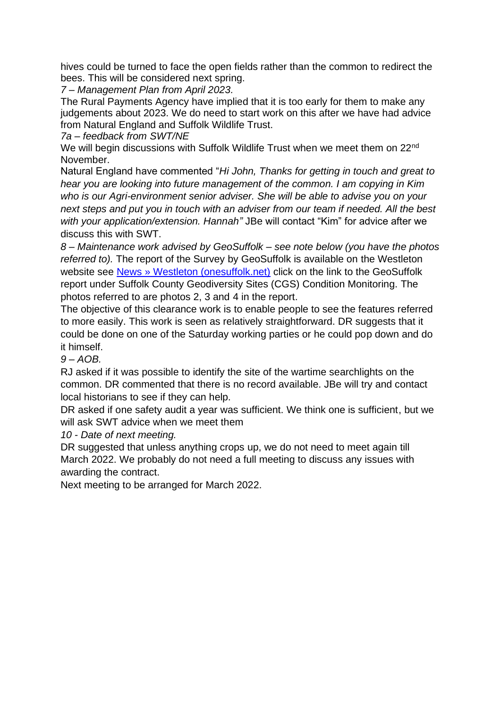hives could be turned to face the open fields rather than the common to redirect the bees. This will be considered next spring.

*7 – Management Plan from April 2023.*

The Rural Payments Agency have implied that it is too early for them to make any judgements about 2023. We do need to start work on this after we have had advice from Natural England and Suffolk Wildlife Trust.

*7a – feedback from SWT/NE*

We will begin discussions with Suffolk Wildlife Trust when we meet them on 22<sup>nd</sup> November.

Natural England have commented "*Hi John, Thanks for getting in touch and great to hear you are looking into future management of the common. I am copying in Kim who is our Agri-environment senior adviser. She will be able to advise you on your next steps and put you in touch with an adviser from our team if needed. All the best with your application/extension. Hannah"* JBe will contact "Kim" for advice after we discuss this with SWT.

*8 – Maintenance work advised by GeoSuffolk – see note below (you have the photos referred to).* The report of the Survey by GeoSuffolk is available on the Westleton website see [News » Westleton \(onesuffolk.net\)](http://westleton.onesuffolk.net/westleton-common/news/) click on the link to the GeoSuffolk report under Suffolk County Geodiversity Sites (CGS) Condition Monitoring. The photos referred to are photos 2, 3 and 4 in the report.

The objective of this clearance work is to enable people to see the features referred to more easily. This work is seen as relatively straightforward. DR suggests that it could be done on one of the Saturday working parties or he could pop down and do it himself.

*9 – AOB.*

RJ asked if it was possible to identify the site of the wartime searchlights on the common. DR commented that there is no record available. JBe will try and contact local historians to see if they can help.

DR asked if one safety audit a year was sufficient. We think one is sufficient, but we will ask SWT advice when we meet them

*10 - Date of next meeting.*

DR suggested that unless anything crops up, we do not need to meet again till March 2022. We probably do not need a full meeting to discuss any issues with awarding the contract.

Next meeting to be arranged for March 2022.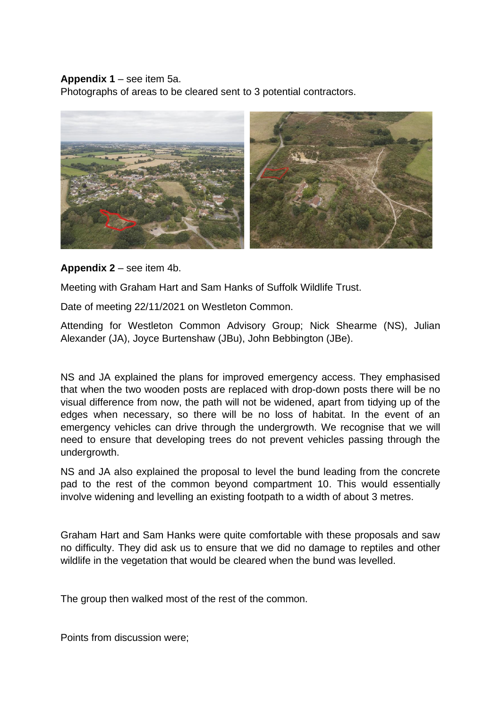## **Appendix 1** – see item 5a.

Photographs of areas to be cleared sent to 3 potential contractors.



## **Appendix 2** – see item 4b.

Meeting with Graham Hart and Sam Hanks of Suffolk Wildlife Trust.

Date of meeting 22/11/2021 on Westleton Common.

Attending for Westleton Common Advisory Group; Nick Shearme (NS), Julian Alexander (JA), Joyce Burtenshaw (JBu), John Bebbington (JBe).

NS and JA explained the plans for improved emergency access. They emphasised that when the two wooden posts are replaced with drop-down posts there will be no visual difference from now, the path will not be widened, apart from tidying up of the edges when necessary, so there will be no loss of habitat. In the event of an emergency vehicles can drive through the undergrowth. We recognise that we will need to ensure that developing trees do not prevent vehicles passing through the undergrowth.

NS and JA also explained the proposal to level the bund leading from the concrete pad to the rest of the common beyond compartment 10. This would essentially involve widening and levelling an existing footpath to a width of about 3 metres.

Graham Hart and Sam Hanks were quite comfortable with these proposals and saw no difficulty. They did ask us to ensure that we did no damage to reptiles and other wildlife in the vegetation that would be cleared when the bund was levelled.

The group then walked most of the rest of the common.

Points from discussion were;